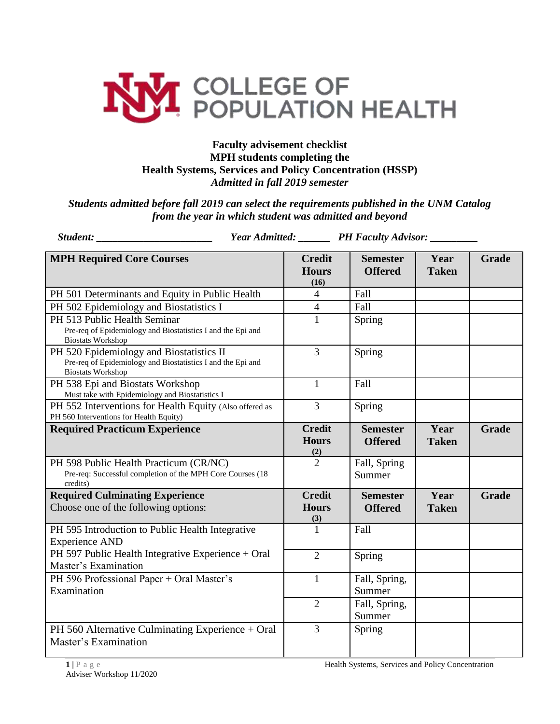

## **Faculty advisement checklist MPH students completing the Health Systems, Services and Policy Concentration (HSSP)**  *Admitted in fall 2019 semester*

*Students admitted before fall 2019 can select the requirements published in the UNM Catalog from the year in which student was admitted and beyond*

| <b>Student:</b> Student:                                                                                                            |  | Year Admitted: _______ PH Faculty Advisor: _______ |                                   |                      |              |
|-------------------------------------------------------------------------------------------------------------------------------------|--|----------------------------------------------------|-----------------------------------|----------------------|--------------|
| <b>MPH Required Core Courses</b>                                                                                                    |  | <b>Credit</b><br><b>Hours</b><br>(16)              | <b>Semester</b><br><b>Offered</b> | Year<br><b>Taken</b> | <b>Grade</b> |
| PH 501 Determinants and Equity in Public Health                                                                                     |  | $\overline{4}$                                     | Fall                              |                      |              |
| PH 502 Epidemiology and Biostatistics I                                                                                             |  | $\overline{4}$                                     | Fall                              |                      |              |
| PH 513 Public Health Seminar<br>Pre-req of Epidemiology and Biostatistics I and the Epi and<br><b>Biostats Workshop</b>             |  | $\mathbf{1}$                                       | Spring                            |                      |              |
| PH 520 Epidemiology and Biostatistics II<br>Pre-req of Epidemiology and Biostatistics I and the Epi and<br><b>Biostats Workshop</b> |  | $\overline{3}$                                     | Spring                            |                      |              |
| PH 538 Epi and Biostats Workshop<br>Must take with Epidemiology and Biostatistics I                                                 |  | $\mathbf{1}$                                       | Fall                              |                      |              |
| PH 552 Interventions for Health Equity (Also offered as<br>PH 560 Interventions for Health Equity)                                  |  | $\overline{3}$                                     | Spring                            |                      |              |
| <b>Required Practicum Experience</b>                                                                                                |  | <b>Credit</b><br><b>Hours</b>                      | <b>Semester</b><br><b>Offered</b> | Year<br><b>Taken</b> | <b>Grade</b> |
| PH 598 Public Health Practicum (CR/NC)<br>Pre-req: Successful completion of the MPH Core Courses (18<br>credits)                    |  | $\frac{(2)}{2}$                                    | Fall, Spring<br>Summer            |                      |              |
| <b>Required Culminating Experience</b><br>Choose one of the following options:                                                      |  | <b>Credit</b><br><b>Hours</b><br>(3)               | <b>Semester</b><br><b>Offered</b> | Year<br><b>Taken</b> | <b>Grade</b> |
| PH 595 Introduction to Public Health Integrative<br><b>Experience AND</b>                                                           |  | $\mathbf{1}$                                       | Fall                              |                      |              |
| PH 597 Public Health Integrative Experience + Oral<br>Master's Examination                                                          |  | $\overline{2}$                                     | Spring                            |                      |              |
| PH 596 Professional Paper + Oral Master's<br>Examination                                                                            |  | $\mathbf{1}$                                       | Fall, Spring,<br>Summer           |                      |              |
|                                                                                                                                     |  | $\overline{2}$                                     | Fall, Spring,<br>Summer           |                      |              |
| PH 560 Alternative Culminating Experience + Oral<br>Master's Examination                                                            |  | 3                                                  | Spring                            |                      |              |